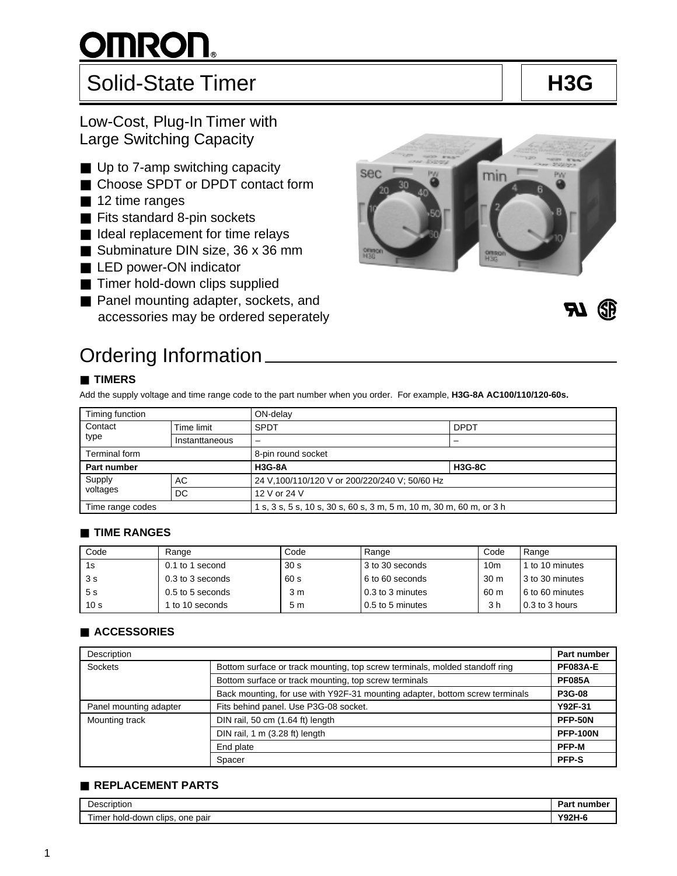# **OMRON。**

## Solid-State Timer **H3G**

### Low-Cost, Plug-In Timer with Large Switching Capacity

- Up to 7-amp switching capacity
- Choose SPDT or DPDT contact form
- 12 time ranges
- Fits standard 8-pin sockets
- Ideal replacement for time relays
- Subminature DIN size, 36 x 36 mm
- LED power-ON indicator
- Timer hold-down clips supplied
- Panel mounting adapter, sockets, and accessories may be ordered seperately

### Ordering Information

### ■ **TIMERS**

Add the supply voltage and time range code to the part number when you order. For example, **H3G-8A AC100/110/120-60s.**

| Timing function    |                | ON-delay                                                            |               |  |
|--------------------|----------------|---------------------------------------------------------------------|---------------|--|
| Contact            | Time limit     | <b>SPDT</b>                                                         | <b>DPDT</b>   |  |
| type               | Instanttaneous | -                                                                   | -             |  |
| Terminal form      |                | 8-pin round socket                                                  |               |  |
| <b>Part number</b> |                | <b>H3G-8A</b>                                                       | <b>H3G-8C</b> |  |
| Supply             | АC             | 24 V,100/110/120 V or 200/220/240 V; 50/60 Hz                       |               |  |
| voltages           | DC             | 12 V or 24 V                                                        |               |  |
| Time range codes   |                | 1 s, 3 s, 5 s, 10 s, 30 s, 60 s, 3 m, 5 m, 10 m, 30 m, 60 m, or 3 h |               |  |

#### ■ **TIME RANGES**

| Code            | Range            | Code            | Range            | Code            | Range            |
|-----------------|------------------|-----------------|------------------|-----------------|------------------|
| 1s              | 0.1 to 1 second  | 30 <sub>s</sub> | 3 to 30 seconds  | 10 <sub>m</sub> | 1 to 10 minutes  |
| 3s              | 0.3 to 3 seconds | 60 s            | 6 to 60 seconds  | 30 <sub>m</sub> | 3 to 30 minutes  |
| 5s              | 0.5 to 5 seconds | 3 m             | 0.3 to 3 minutes | 60 m            | 6 to 60 minutes  |
| 10 <sub>s</sub> | 1 to 10 seconds  | 5 m             | 0.5 to 5 minutes | 3 <sub>h</sub>  | l 0.3 to 3 hours |

#### ■ **ACCESSORIES**

| Description            |                                                                                                |                 |  |
|------------------------|------------------------------------------------------------------------------------------------|-----------------|--|
| Sockets                | Bottom surface or track mounting, top screw terminals, molded standoff ring<br><b>PF083A-E</b> |                 |  |
|                        | Bottom surface or track mounting, top screw terminals                                          | <b>PF085A</b>   |  |
|                        | Back mounting, for use with Y92F-31 mounting adapter, bottom screw terminals                   | <b>P3G-08</b>   |  |
| Panel mounting adapter | Fits behind panel. Use P3G-08 socket.                                                          | Y92F-31         |  |
| Mounting track         | DIN rail, 50 cm (1.64 ft) length                                                               | <b>PFP-50N</b>  |  |
|                        | DIN rail, 1 m (3.28 ft) length                                                                 | <b>PFP-100N</b> |  |
|                        | End plate                                                                                      | <b>PFP-M</b>    |  |
|                        | Spacer                                                                                         | <b>PFP-S</b>    |  |

#### ■ **REPLACEMENT PARTS**

| Description                                    | п.<br>number<br>aπ |
|------------------------------------------------|--------------------|
| one pair<br>hold-<br>. ımer<br>-down<br>clips. |                    |



 $7.9$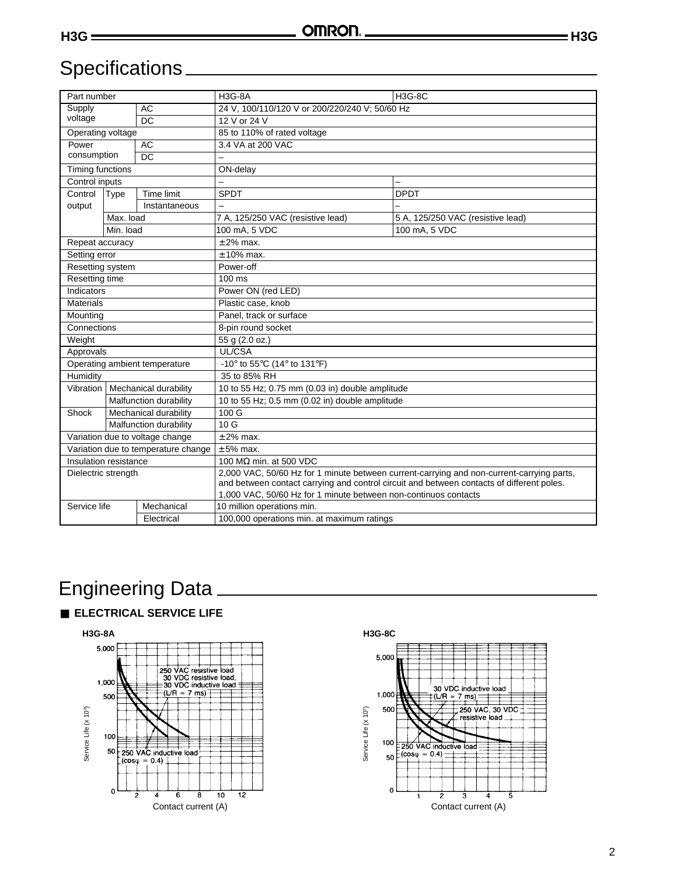### Specifications

| Part number                         |           |                                 | <b>H3G-8A</b>                                                                             | <b>H3G-8C</b>                     |  |  |
|-------------------------------------|-----------|---------------------------------|-------------------------------------------------------------------------------------------|-----------------------------------|--|--|
| <b>AC</b><br>Supply                 |           |                                 | 24 V, 100/110/120 V or 200/220/240 V; 50/60 Hz                                            |                                   |  |  |
| voltage<br>DC.                      |           |                                 | 12 V or 24 V                                                                              |                                   |  |  |
| Operating voltage                   |           |                                 | 85 to 110% of rated voltage                                                               |                                   |  |  |
| Power                               |           | <b>AC</b>                       | 3.4 VA at 200 VAC                                                                         |                                   |  |  |
| consumption<br><b>DC</b>            |           |                                 | $\overline{\phantom{0}}$                                                                  |                                   |  |  |
| Timing functions                    |           |                                 | ON-delay                                                                                  |                                   |  |  |
| Control inputs                      |           |                                 | ▃                                                                                         | -                                 |  |  |
| Control                             | Type      | Time limit                      | <b>SPDT</b>                                                                               | <b>DPDT</b>                       |  |  |
| output                              |           | Instantaneous                   | $\overline{\phantom{0}}$                                                                  |                                   |  |  |
|                                     | Max. load |                                 | 7 A, 125/250 VAC (resistive lead)                                                         | 5 A, 125/250 VAC (resistive lead) |  |  |
|                                     | Min. load |                                 | 100 mA, 5 VDC                                                                             | 100 mA, 5 VDC                     |  |  |
| Repeat accuracy                     |           |                                 | $±$ 2% max.                                                                               |                                   |  |  |
| Setting error                       |           |                                 | $± 10\%$ max.                                                                             |                                   |  |  |
| Resetting system                    |           |                                 | Power-off                                                                                 |                                   |  |  |
| Resetting time                      |           |                                 | $100 \text{ ms}$                                                                          |                                   |  |  |
| Indicators                          |           |                                 | Power ON (red LED)                                                                        |                                   |  |  |
| <b>Materials</b>                    |           |                                 | Plastic case, knob                                                                        |                                   |  |  |
| Mounting                            |           |                                 | Panel, track or surface                                                                   |                                   |  |  |
| Connections                         |           |                                 | 8-pin round socket                                                                        |                                   |  |  |
| Weight                              |           |                                 | 55 g (2.0 oz.)                                                                            |                                   |  |  |
| Approvals                           |           |                                 | UL/CSA                                                                                    |                                   |  |  |
|                                     |           | Operating ambient temperature   | -10 $\degree$ to 55 $\degree$ C (14 $\degree$ to 131 $\degree$ F)                         |                                   |  |  |
| Humidity                            |           |                                 | 35 to 85% RH                                                                              |                                   |  |  |
| Vibration                           |           | Mechanical durability           | 10 to 55 Hz; 0.75 mm (0.03 in) double amplitude                                           |                                   |  |  |
|                                     |           | Malfunction durability          | 10 to 55 Hz; 0.5 mm (0.02 in) double amplitude                                            |                                   |  |  |
| Shock                               |           | Mechanical durability           | 100 G                                                                                     |                                   |  |  |
| Malfunction durability              |           |                                 | 10G                                                                                       |                                   |  |  |
|                                     |           | Variation due to voltage change | $±$ 2% max.                                                                               |                                   |  |  |
| Variation due to temperature change |           |                                 | $± 5%$ max.                                                                               |                                   |  |  |
| Insulation resistance               |           |                                 | 100 M $\Omega$ min. at 500 VDC                                                            |                                   |  |  |
| Dielectric strength                 |           |                                 | 2,000 VAC, 50/60 Hz for 1 minute between current-carrying and non-current-carrying parts, |                                   |  |  |
|                                     |           |                                 | and between contact carrying and control circuit and between contacts of different poles. |                                   |  |  |
|                                     |           |                                 | 1,000 VAC, 50/60 Hz for 1 minute between non-continuos contacts                           |                                   |  |  |
| Service life                        |           | Mechanical                      | 10 million operations min.                                                                |                                   |  |  |
| Electrical                          |           |                                 | 100,000 operations min. at maximum ratings                                                |                                   |  |  |

### Engineering Data

#### ■ **ELECTRICAL SERVICE LIFE**



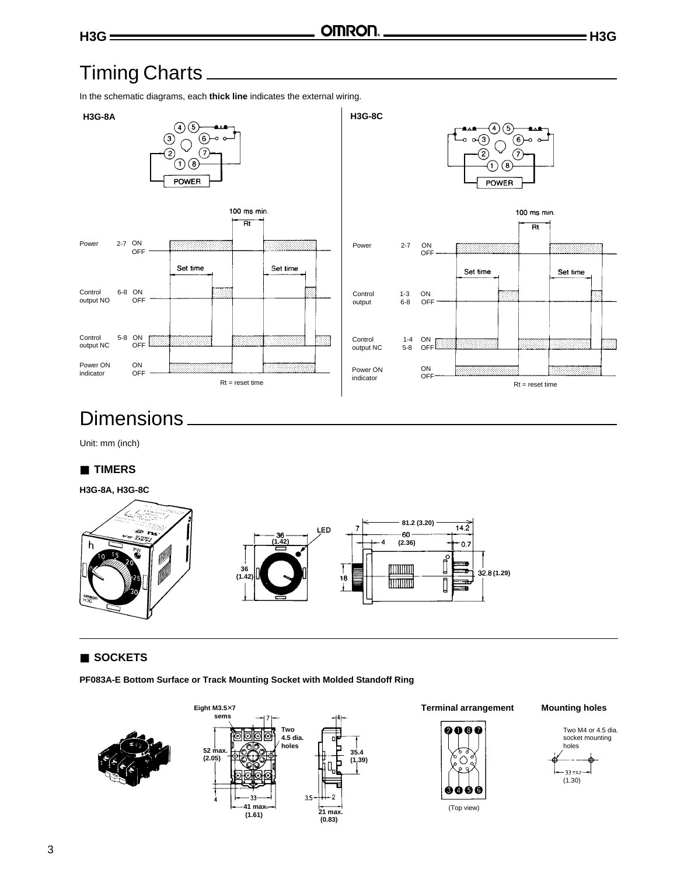### Timing Charts

In the schematic diagrams, each **thick line** indicates the external wiring.



### Dimensions \_\_\_\_\_\_\_

Unit: mm (inch)

#### ■ **TIMERS**

**H3G-8A, H3G-8C**

![](_page_2_Figure_10.jpeg)

#### ■ **SOCKETS**

**PF083A-E Bottom Surface or Track Mounting Socket with Molded Standoff Ring**

![](_page_2_Figure_13.jpeg)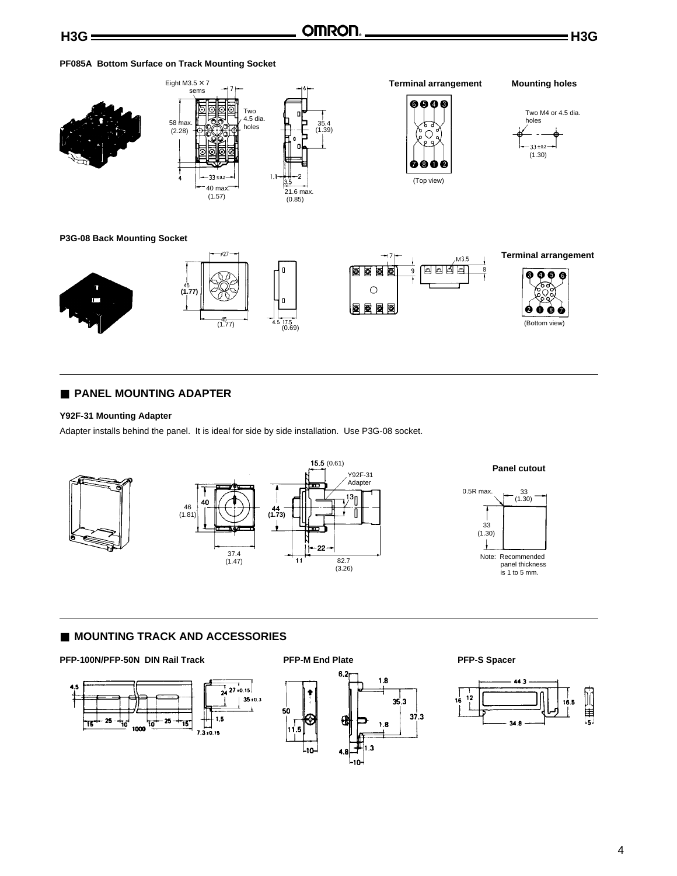#### **PF085A Bottom Surface on Track Mounting Socket**

![](_page_3_Figure_4.jpeg)

#### ■ **PANEL MOUNTING ADAPTER**

#### **Y92F-31 Mounting Adapter**

Adapter installs behind the panel. It is ideal for side by side installation. Use P3G-08 socket.

![](_page_3_Figure_8.jpeg)

#### ■ **MOUNTING TRACK AND ACCESSORIES**

#### PFP-100N/PFP-50N DIN Rail Track **PFP-M End Plate PFP-8 Spacer** PFP-S Spacer

![](_page_3_Figure_11.jpeg)

![](_page_3_Figure_12.jpeg)

![](_page_3_Figure_13.jpeg)

![](_page_3_Figure_14.jpeg)

![](_page_3_Figure_15.jpeg)